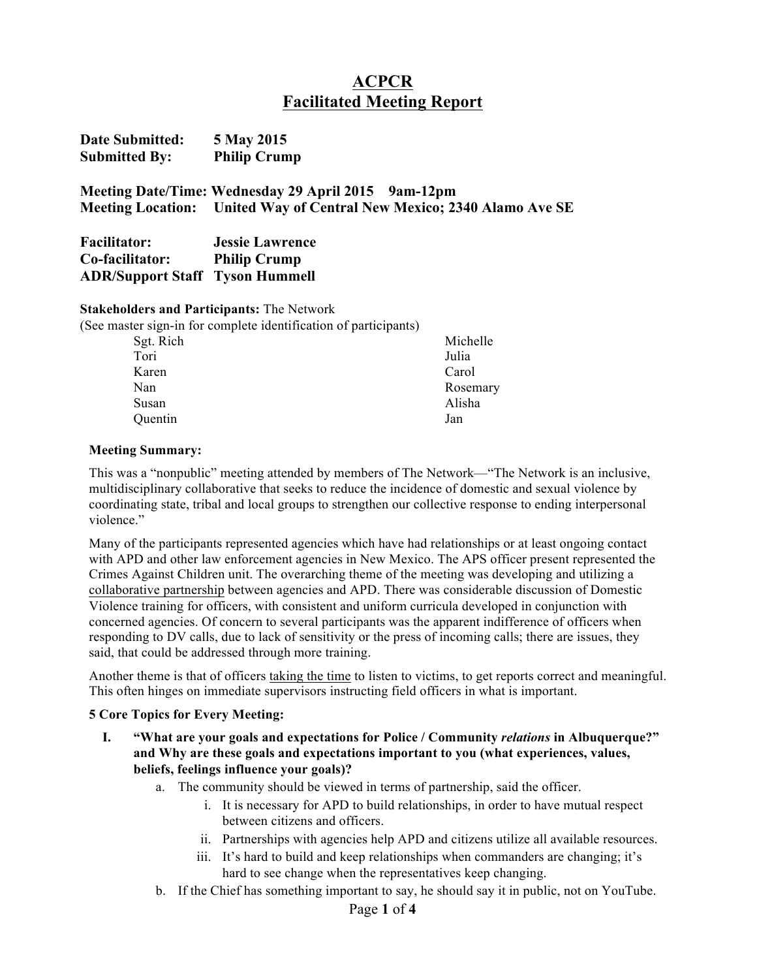# **ACPCR Facilitated Meeting Report**

| <b>Date Submitted:</b> | 5 May 2015          |
|------------------------|---------------------|
| <b>Submitted By:</b>   | <b>Philip Crump</b> |

**Meeting Date/Time: Wednesday 29 April 2015 9am-12pm Meeting Location: United Way of Central New Mexico; 2340 Alamo Ave SE**

| <b>Facilitator:</b>                    | <b>Jessie Lawrence</b> |
|----------------------------------------|------------------------|
| Co-facilitator:                        | <b>Philip Crump</b>    |
| <b>ADR/Support Staff</b> Tyson Hummell |                        |

#### **Stakeholders and Participants:** The Network

| (See master sign-in for complete identification of participants) |          |
|------------------------------------------------------------------|----------|
| Sgt. Rich                                                        | Michelle |
| Tori                                                             | Julia    |
| Karen                                                            | Carol    |
| Nan                                                              | Rosemary |
| Susan                                                            | Alisha   |
| Quentin                                                          | Jan      |
|                                                                  |          |

### **Meeting Summary:**

This was a "nonpublic" meeting attended by members of The Network—"The Network is an inclusive, multidisciplinary collaborative that seeks to reduce the incidence of domestic and sexual violence by coordinating state, tribal and local groups to strengthen our collective response to ending interpersonal violence."

Many of the participants represented agencies which have had relationships or at least ongoing contact with APD and other law enforcement agencies in New Mexico. The APS officer present represented the Crimes Against Children unit. The overarching theme of the meeting was developing and utilizing a collaborative partnership between agencies and APD. There was considerable discussion of Domestic Violence training for officers, with consistent and uniform curricula developed in conjunction with concerned agencies. Of concern to several participants was the apparent indifference of officers when responding to DV calls, due to lack of sensitivity or the press of incoming calls; there are issues, they said, that could be addressed through more training.

Another theme is that of officers taking the time to listen to victims, to get reports correct and meaningful. This often hinges on immediate supervisors instructing field officers in what is important.

### **5 Core Topics for Every Meeting:**

- **I. "What are your goals and expectations for Police / Community** *relations* **in Albuquerque?" and Why are these goals and expectations important to you (what experiences, values, beliefs, feelings influence your goals)?** 
	- a. The community should be viewed in terms of partnership, said the officer.
		- i. It is necessary for APD to build relationships, in order to have mutual respect between citizens and officers.
		- ii. Partnerships with agencies help APD and citizens utilize all available resources.
		- iii. It's hard to build and keep relationships when commanders are changing; it's hard to see change when the representatives keep changing.
	- b. If the Chief has something important to say, he should say it in public, not on YouTube.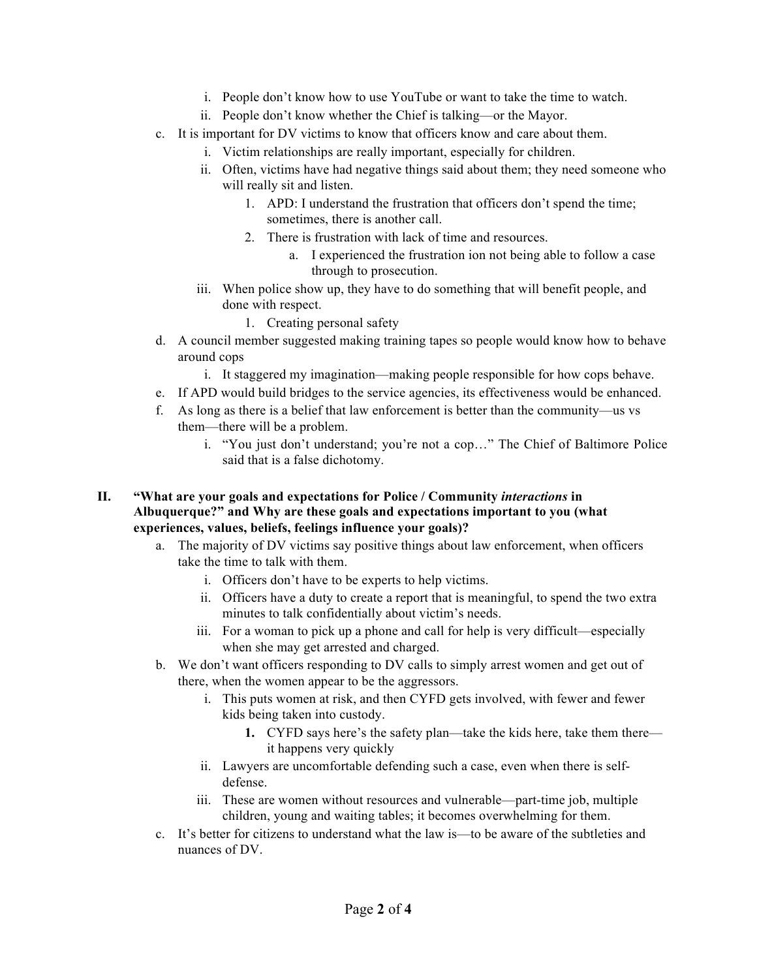- i. People don't know how to use YouTube or want to take the time to watch.
- ii. People don't know whether the Chief is talking—or the Mayor.
- c. It is important for DV victims to know that officers know and care about them.
	- i. Victim relationships are really important, especially for children.
	- ii. Often, victims have had negative things said about them; they need someone who will really sit and listen.
		- 1. APD: I understand the frustration that officers don't spend the time; sometimes, there is another call.
		- 2. There is frustration with lack of time and resources.
			- a. I experienced the frustration ion not being able to follow a case through to prosecution.
	- iii. When police show up, they have to do something that will benefit people, and done with respect.
		- 1. Creating personal safety
- d. A council member suggested making training tapes so people would know how to behave around cops
	- i. It staggered my imagination—making people responsible for how cops behave.
- e. If APD would build bridges to the service agencies, its effectiveness would be enhanced.
- f. As long as there is a belief that law enforcement is better than the community—us vs them—there will be a problem.
	- i. "You just don't understand; you're not a cop…" The Chief of Baltimore Police said that is a false dichotomy.
- **II. "What are your goals and expectations for Police / Community** *interactions* **in Albuquerque?" and Why are these goals and expectations important to you (what experiences, values, beliefs, feelings influence your goals)?** 
	- a. The majority of DV victims say positive things about law enforcement, when officers take the time to talk with them.
		- i. Officers don't have to be experts to help victims.
		- ii. Officers have a duty to create a report that is meaningful, to spend the two extra minutes to talk confidentially about victim's needs.
		- iii. For a woman to pick up a phone and call for help is very difficult—especially when she may get arrested and charged.
	- b. We don't want officers responding to DV calls to simply arrest women and get out of there, when the women appear to be the aggressors.
		- i. This puts women at risk, and then CYFD gets involved, with fewer and fewer kids being taken into custody.
			- **1.** CYFD says here's the safety plan—take the kids here, take them there it happens very quickly
		- ii. Lawyers are uncomfortable defending such a case, even when there is selfdefense.
		- iii. These are women without resources and vulnerable—part-time job, multiple children, young and waiting tables; it becomes overwhelming for them.
	- c. It's better for citizens to understand what the law is—to be aware of the subtleties and nuances of DV.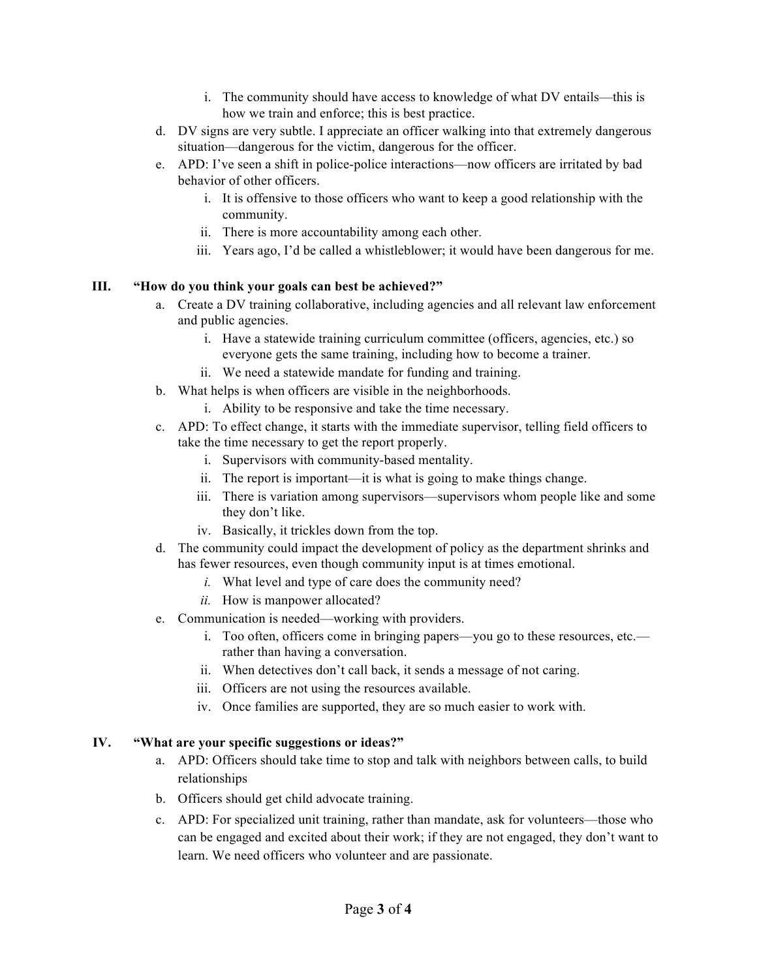- i. The community should have access to knowledge of what DV entails—this is how we train and enforce; this is best practice.
- d. DV signs are very subtle. I appreciate an officer walking into that extremely dangerous situation—dangerous for the victim, dangerous for the officer.
- e. APD: I've seen a shift in police-police interactions—now officers are irritated by bad behavior of other officers.
	- i. It is offensive to those officers who want to keep a good relationship with the community.
	- ii. There is more accountability among each other.
	- iii. Years ago, I'd be called a whistleblower; it would have been dangerous for me.

## **III. "How do you think your goals can best be achieved?"**

- a. Create a DV training collaborative, including agencies and all relevant law enforcement and public agencies.
	- i. Have a statewide training curriculum committee (officers, agencies, etc.) so everyone gets the same training, including how to become a trainer.
	- ii. We need a statewide mandate for funding and training.
- b. What helps is when officers are visible in the neighborhoods.
	- i. Ability to be responsive and take the time necessary.
- c. APD: To effect change, it starts with the immediate supervisor, telling field officers to take the time necessary to get the report properly.
	- i. Supervisors with community-based mentality.
	- ii. The report is important—it is what is going to make things change.
	- iii. There is variation among supervisors—supervisors whom people like and some they don't like.
	- iv. Basically, it trickles down from the top.
- d. The community could impact the development of policy as the department shrinks and has fewer resources, even though community input is at times emotional.
	- *i.* What level and type of care does the community need?
	- *ii.* How is manpower allocated?
- e. Communication is needed—working with providers.
	- i. Too often, officers come in bringing papers—you go to these resources, etc. rather than having a conversation.
	- ii. When detectives don't call back, it sends a message of not caring.
	- iii. Officers are not using the resources available.
	- iv. Once families are supported, they are so much easier to work with.

### **IV. "What are your specific suggestions or ideas?"**

- a. APD: Officers should take time to stop and talk with neighbors between calls, to build relationships
- b. Officers should get child advocate training.
- c. APD: For specialized unit training, rather than mandate, ask for volunteers—those who can be engaged and excited about their work; if they are not engaged, they don't want to learn. We need officers who volunteer and are passionate.